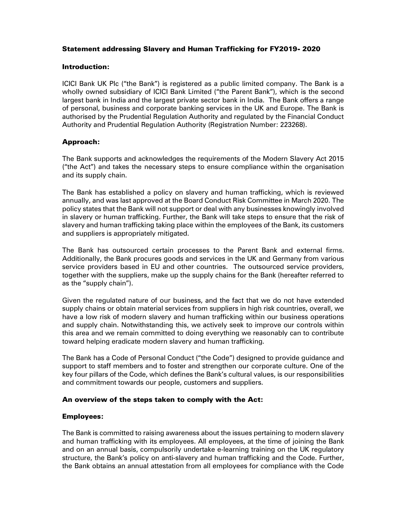# Statement addressing Slavery and Human Trafficking for FY2019- 2020

#### Introduction:

ICICI Bank UK Plc ("the Bank") is registered as a public limited company. The Bank is a wholly owned subsidiary of ICICI Bank Limited ("the Parent Bank"), which is the second largest bank in India and the largest private sector bank in India. The Bank offers a range of personal, business and corporate banking services in the UK and Europe. The Bank is authorised by the Prudential Regulation Authority and regulated by the Financial Conduct Authority and Prudential Regulation Authority (Registration Number: 223268).

# Approach:

The Bank supports and acknowledges the requirements of the Modern Slavery Act 2015 ("the Act") and takes the necessary steps to ensure compliance within the organisation and its supply chain.

The Bank has established a policy on slavery and human trafficking, which is reviewed annually, and was last approved at the Board Conduct Risk Committee in March 2020. The policy states that the Bank will not support or deal with any businesses knowingly involved in slavery or human trafficking. Further, the Bank will take steps to ensure that the risk of slavery and human trafficking taking place within the employees of the Bank, its customers and suppliers is appropriately mitigated.

The Bank has outsourced certain processes to the Parent Bank and external firms. Additionally, the Bank procures goods and services in the UK and Germany from various service providers based in EU and other countries. The outsourced service providers, together with the suppliers, make up the supply chains for the Bank (hereafter referred to as the "supply chain").

Given the regulated nature of our business, and the fact that we do not have extended supply chains or obtain material services from suppliers in high risk countries, overall, we have a low risk of modern slavery and human trafficking within our business operations and supply chain. Notwithstanding this, we actively seek to improve our controls within this area and we remain committed to doing everything we reasonably can to contribute toward helping eradicate modern slavery and human trafficking.

The Bank has a Code of Personal Conduct ("the Code") designed to provide guidance and support to staff members and to foster and strengthen our corporate culture. One of the key four pillars of the Code, which defines the Bank's cultural values, is our responsibilities and commitment towards our people, customers and suppliers.

## An overview of the steps taken to comply with the Act:

## Employees:

The Bank is committed to raising awareness about the issues pertaining to modern slavery and human trafficking with its employees. All employees, at the time of joining the Bank and on an annual basis, compulsorily undertake e-learning training on the UK regulatory structure, the Bank's policy on anti-slavery and human trafficking and the Code. Further, the Bank obtains an annual attestation from all employees for compliance with the Code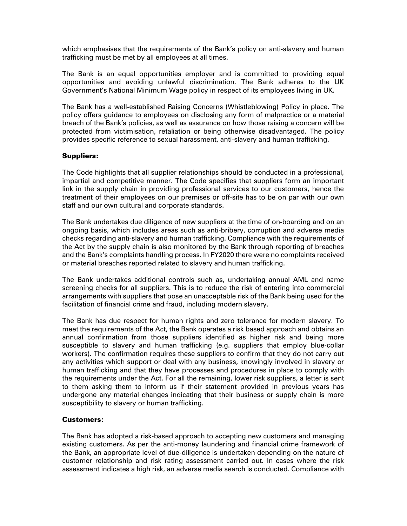which emphasises that the requirements of the Bank's policy on anti-slavery and human trafficking must be met by all employees at all times.

The Bank is an equal opportunities employer and is committed to providing equal opportunities and avoiding unlawful discrimination. The Bank adheres to the UK Government's National Minimum Wage policy in respect of its employees living in UK.

The Bank has a well-established Raising Concerns (Whistleblowing) Policy in place. The policy offers guidance to employees on disclosing any form of malpractice or a material breach of the Bank's policies, as well as assurance on how those raising a concern will be protected from victimisation, retaliation or being otherwise disadvantaged. The policy provides specific reference to sexual harassment, anti-slavery and human trafficking.

#### Suppliers:

The Code highlights that all supplier relationships should be conducted in a professional, impartial and competitive manner. The Code specifies that suppliers form an important link in the supply chain in providing professional services to our customers, hence the treatment of their employees on our premises or off-site has to be on par with our own staff and our own cultural and corporate standards.

The Bank undertakes due diligence of new suppliers at the time of on-boarding and on an ongoing basis, which includes areas such as anti-bribery, corruption and adverse media checks regarding anti-slavery and human trafficking. Compliance with the requirements of the Act by the supply chain is also monitored by the Bank through reporting of breaches and the Bank's complaints handling process. In FY2020 there were no complaints received or material breaches reported related to slavery and human trafficking.

The Bank undertakes additional controls such as, undertaking annual AML and name screening checks for all suppliers. This is to reduce the risk of entering into commercial arrangements with suppliers that pose an unacceptable risk of the Bank being used for the facilitation of financial crime and fraud, including modern slavery.

The Bank has due respect for human rights and zero tolerance for modern slavery. To meet the requirements of the Act, the Bank operates a risk based approach and obtains an annual confirmation from those suppliers identified as higher risk and being more susceptible to slavery and human trafficking (e.g. suppliers that employ blue-collar workers). The confirmation requires these suppliers to confirm that they do not carry out any activities which support or deal with any business, knowingly involved in slavery or human trafficking and that they have processes and procedures in place to comply with the requirements under the Act. For all the remaining, lower risk suppliers, a letter is sent to them asking them to inform us if their statement provided in previous years has undergone any material changes indicating that their business or supply chain is more susceptibility to slavery or human trafficking.

#### Customers:

The Bank has adopted a risk-based approach to accepting new customers and managing existing customers. As per the anti-money laundering and financial crime framework of the Bank, an appropriate level of due-diligence is undertaken depending on the nature of customer relationship and risk rating assessment carried out. In cases where the risk assessment indicates a high risk, an adverse media search is conducted. Compliance with